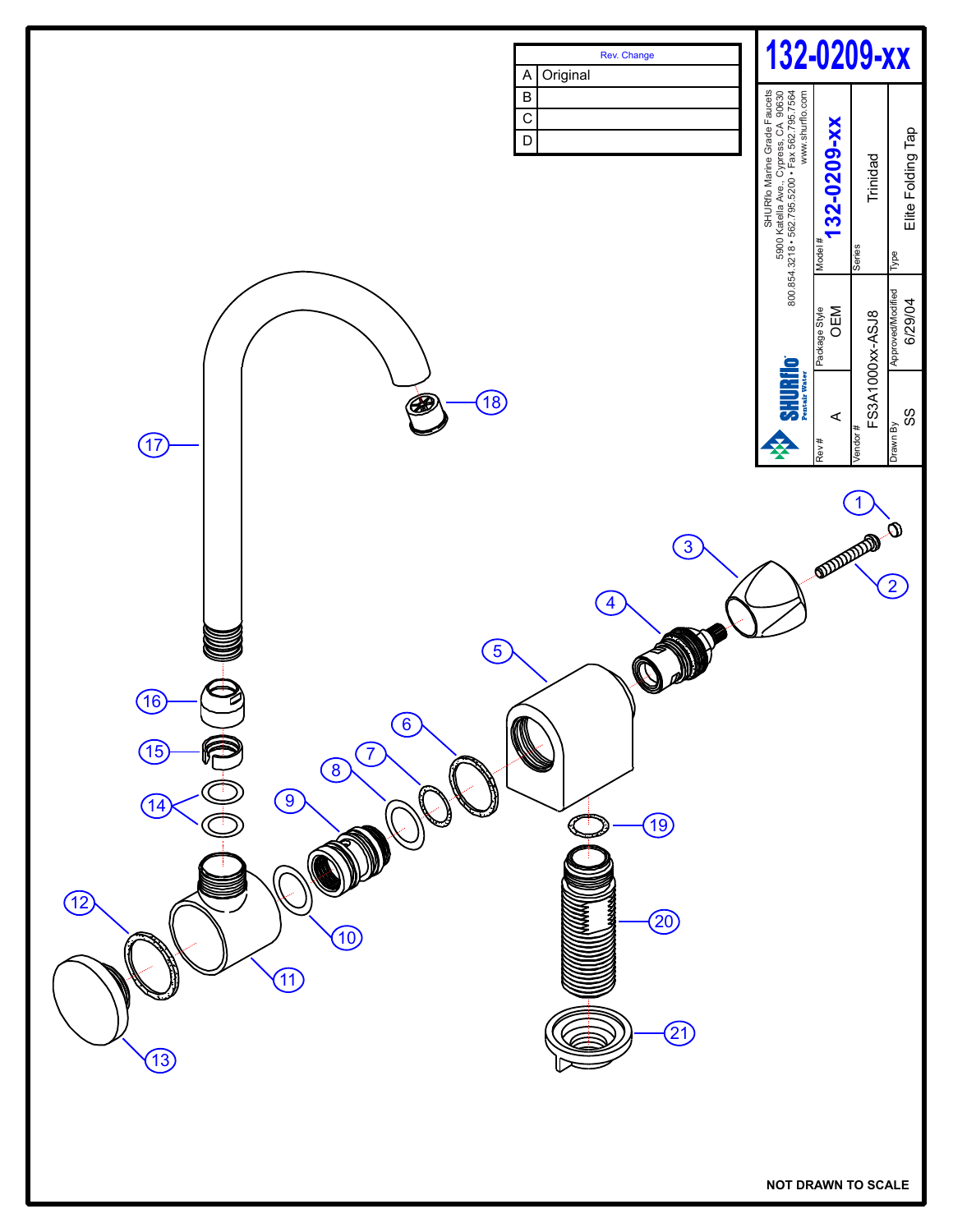